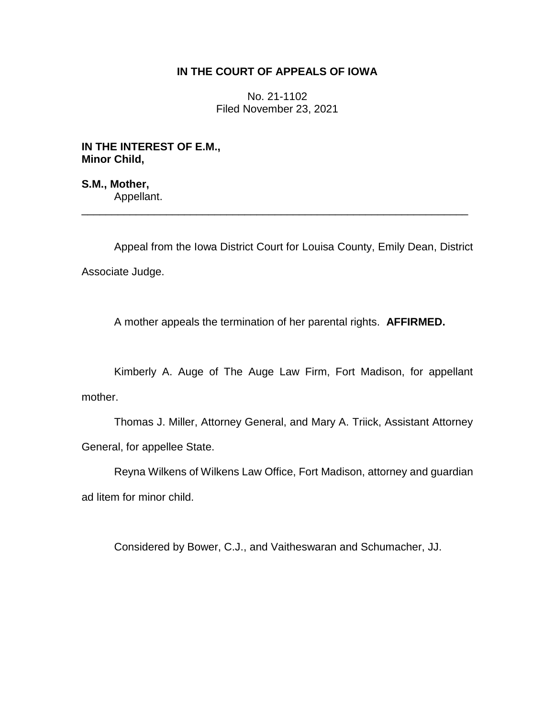## **IN THE COURT OF APPEALS OF IOWA**

No. 21-1102 Filed November 23, 2021

**IN THE INTEREST OF E.M., Minor Child,**

**S.M., Mother,** Appellant. \_\_\_\_\_\_\_\_\_\_\_\_\_\_\_\_\_\_\_\_\_\_\_\_\_\_\_\_\_\_\_\_\_\_\_\_\_\_\_\_\_\_\_\_\_\_\_\_\_\_\_\_\_\_\_\_\_\_\_\_\_\_\_\_

Appeal from the Iowa District Court for Louisa County, Emily Dean, District Associate Judge.

A mother appeals the termination of her parental rights. **AFFIRMED.**

Kimberly A. Auge of The Auge Law Firm, Fort Madison, for appellant mother.

Thomas J. Miller, Attorney General, and Mary A. Triick, Assistant Attorney General, for appellee State.

Reyna Wilkens of Wilkens Law Office, Fort Madison, attorney and guardian ad litem for minor child.

Considered by Bower, C.J., and Vaitheswaran and Schumacher, JJ.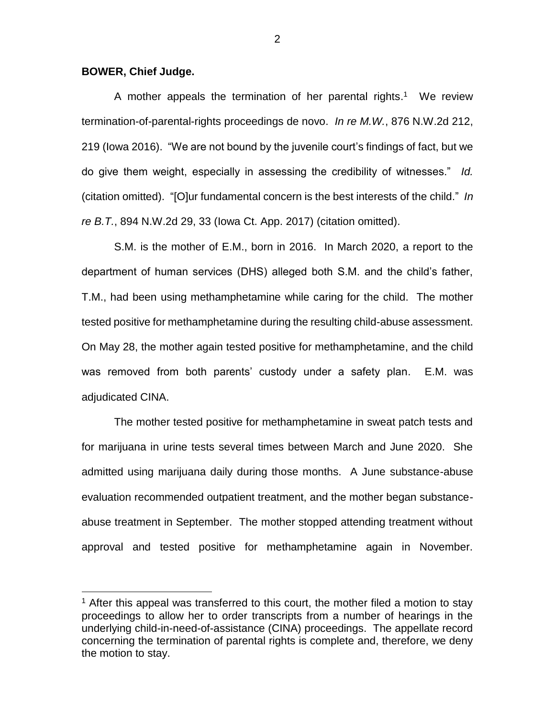## **BOWER, Chief Judge.**

 $\overline{a}$ 

A mother appeals the termination of her parental rights.<sup>1</sup> We review termination-of-parental-rights proceedings de novo. *In re M.W.*, 876 N.W.2d 212, 219 (Iowa 2016). "We are not bound by the juvenile court's findings of fact, but we do give them weight, especially in assessing the credibility of witnesses." *Id.* (citation omitted). "[O]ur fundamental concern is the best interests of the child." *In re B.T.*, 894 N.W.2d 29, 33 (Iowa Ct. App. 2017) (citation omitted).

S.M. is the mother of E.M., born in 2016. In March 2020, a report to the department of human services (DHS) alleged both S.M. and the child's father, T.M., had been using methamphetamine while caring for the child. The mother tested positive for methamphetamine during the resulting child-abuse assessment. On May 28, the mother again tested positive for methamphetamine, and the child was removed from both parents' custody under a safety plan. E.M. was adjudicated CINA.

The mother tested positive for methamphetamine in sweat patch tests and for marijuana in urine tests several times between March and June 2020. She admitted using marijuana daily during those months. A June substance-abuse evaluation recommended outpatient treatment, and the mother began substanceabuse treatment in September. The mother stopped attending treatment without approval and tested positive for methamphetamine again in November.

 $<sup>1</sup>$  After this appeal was transferred to this court, the mother filed a motion to stay</sup> proceedings to allow her to order transcripts from a number of hearings in the underlying child-in-need-of-assistance (CINA) proceedings. The appellate record concerning the termination of parental rights is complete and, therefore, we deny the motion to stay.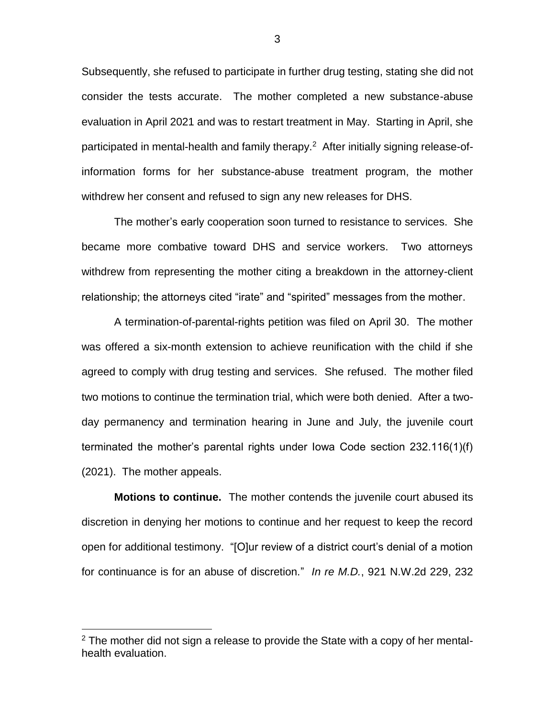Subsequently, she refused to participate in further drug testing, stating she did not consider the tests accurate. The mother completed a new substance-abuse evaluation in April 2021 and was to restart treatment in May. Starting in April, she participated in mental-health and family therapy.<sup>2</sup> After initially signing release-ofinformation forms for her substance-abuse treatment program, the mother withdrew her consent and refused to sign any new releases for DHS.

The mother's early cooperation soon turned to resistance to services. She became more combative toward DHS and service workers. Two attorneys withdrew from representing the mother citing a breakdown in the attorney-client relationship; the attorneys cited "irate" and "spirited" messages from the mother.

A termination-of-parental-rights petition was filed on April 30. The mother was offered a six-month extension to achieve reunification with the child if she agreed to comply with drug testing and services. She refused. The mother filed two motions to continue the termination trial, which were both denied. After a twoday permanency and termination hearing in June and July, the juvenile court terminated the mother's parental rights under Iowa Code section 232.116(1)(f) (2021). The mother appeals.

**Motions to continue.**The mother contends the juvenile court abused its discretion in denying her motions to continue and her request to keep the record open for additional testimony. "[O]ur review of a district court's denial of a motion for continuance is for an abuse of discretion." *In re M.D.*, 921 N.W.2d 229, 232

 $\overline{a}$ 

 $2$  The mother did not sign a release to provide the State with a copy of her mentalhealth evaluation.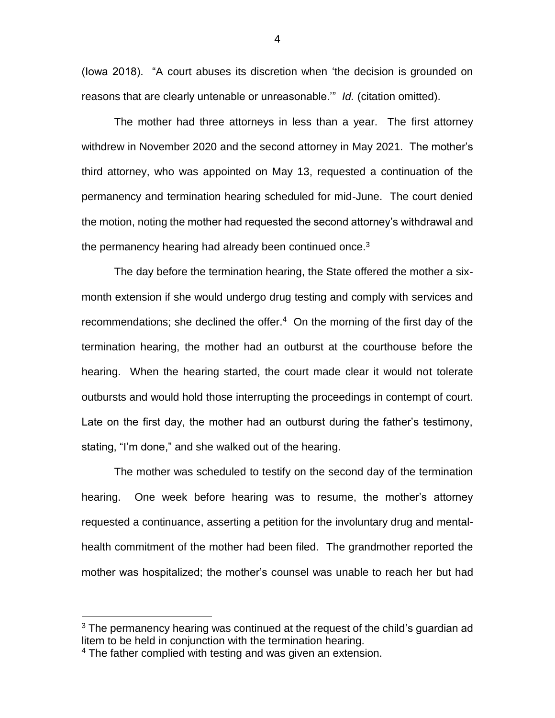(Iowa 2018). "A court abuses its discretion when 'the decision is grounded on reasons that are clearly untenable or unreasonable.'" *Id.* (citation omitted).

The mother had three attorneys in less than a year. The first attorney withdrew in November 2020 and the second attorney in May 2021. The mother's third attorney, who was appointed on May 13, requested a continuation of the permanency and termination hearing scheduled for mid-June. The court denied the motion, noting the mother had requested the second attorney's withdrawal and the permanency hearing had already been continued once. $3$ 

The day before the termination hearing, the State offered the mother a sixmonth extension if she would undergo drug testing and comply with services and recommendations; she declined the offer.<sup>4</sup> On the morning of the first day of the termination hearing, the mother had an outburst at the courthouse before the hearing. When the hearing started, the court made clear it would not tolerate outbursts and would hold those interrupting the proceedings in contempt of court. Late on the first day, the mother had an outburst during the father's testimony, stating, "I'm done," and she walked out of the hearing.

The mother was scheduled to testify on the second day of the termination hearing. One week before hearing was to resume, the mother's attorney requested a continuance, asserting a petition for the involuntary drug and mentalhealth commitment of the mother had been filed. The grandmother reported the mother was hospitalized; the mother's counsel was unable to reach her but had

 $\overline{a}$ 

 $3$  The permanency hearing was continued at the request of the child's guardian ad litem to be held in conjunction with the termination hearing.

<sup>&</sup>lt;sup>4</sup> The father complied with testing and was given an extension.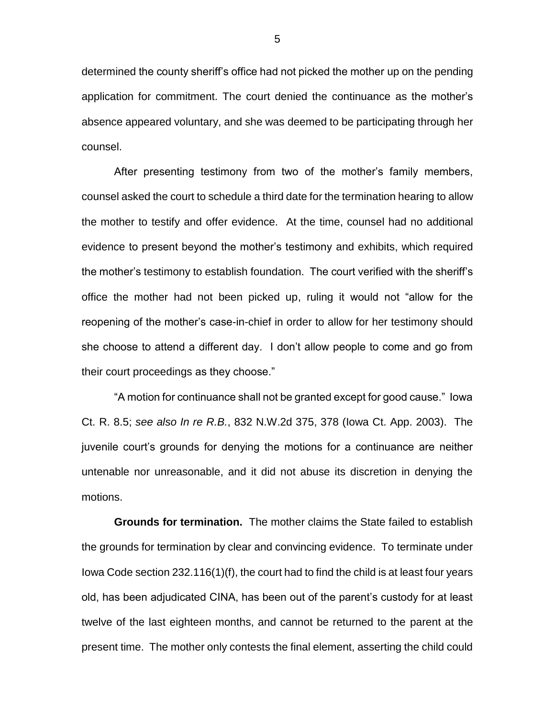determined the county sheriff's office had not picked the mother up on the pending application for commitment. The court denied the continuance as the mother's absence appeared voluntary, and she was deemed to be participating through her counsel.

After presenting testimony from two of the mother's family members, counsel asked the court to schedule a third date for the termination hearing to allow the mother to testify and offer evidence. At the time, counsel had no additional evidence to present beyond the mother's testimony and exhibits, which required the mother's testimony to establish foundation. The court verified with the sheriff's office the mother had not been picked up, ruling it would not "allow for the reopening of the mother's case-in-chief in order to allow for her testimony should she choose to attend a different day. I don't allow people to come and go from their court proceedings as they choose."

"A motion for continuance shall not be granted except for good cause." Iowa Ct. R. 8.5; *see also In re R.B.*, 832 N.W.2d 375, 378 (Iowa Ct. App. 2003). The juvenile court's grounds for denying the motions for a continuance are neither untenable nor unreasonable, and it did not abuse its discretion in denying the motions.

**Grounds for termination.**The mother claims the State failed to establish the grounds for termination by clear and convincing evidence. To terminate under Iowa Code section 232.116(1)(f), the court had to find the child is at least four years old, has been adjudicated CINA, has been out of the parent's custody for at least twelve of the last eighteen months, and cannot be returned to the parent at the present time. The mother only contests the final element, asserting the child could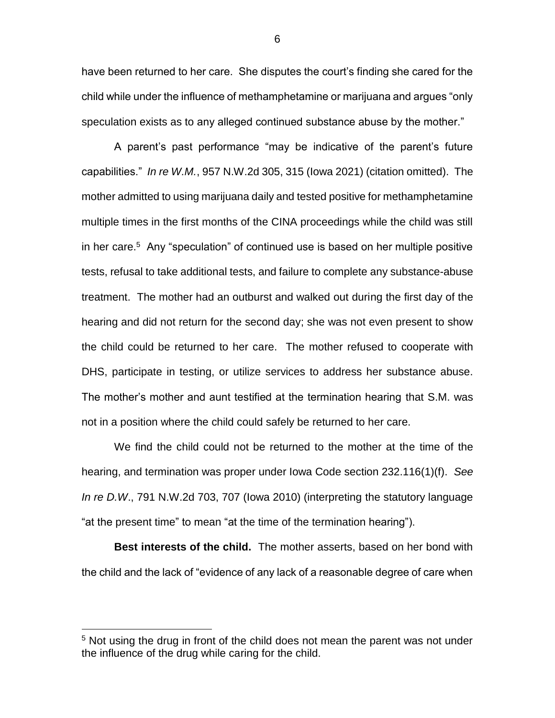have been returned to her care. She disputes the court's finding she cared for the child while under the influence of methamphetamine or marijuana and argues "only speculation exists as to any alleged continued substance abuse by the mother."

A parent's past performance "may be indicative of the parent's future capabilities." *In re W.M.*, 957 N.W.2d 305, 315 (Iowa 2021) (citation omitted). The mother admitted to using marijuana daily and tested positive for methamphetamine multiple times in the first months of the CINA proceedings while the child was still in her care.<sup>5</sup> Any "speculation" of continued use is based on her multiple positive tests, refusal to take additional tests, and failure to complete any substance-abuse treatment. The mother had an outburst and walked out during the first day of the hearing and did not return for the second day; she was not even present to show the child could be returned to her care. The mother refused to cooperate with DHS, participate in testing, or utilize services to address her substance abuse. The mother's mother and aunt testified at the termination hearing that S.M. was not in a position where the child could safely be returned to her care.

We find the child could not be returned to the mother at the time of the hearing, and termination was proper under Iowa Code section 232.116(1)(f). *See In re D.W*., 791 N.W.2d 703, 707 (Iowa 2010) (interpreting the statutory language "at the present time" to mean "at the time of the termination hearing").

**Best interests of the child.** The mother asserts, based on her bond with the child and the lack of "evidence of any lack of a reasonable degree of care when

 $\overline{a}$ 

<sup>&</sup>lt;sup>5</sup> Not using the drug in front of the child does not mean the parent was not under the influence of the drug while caring for the child.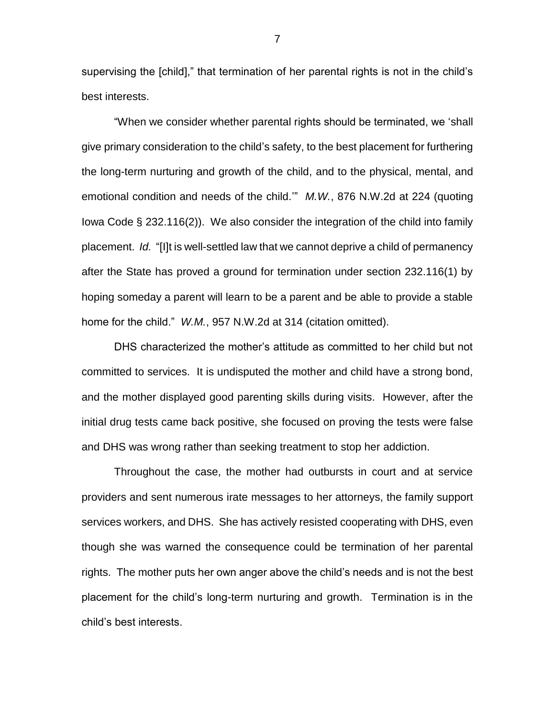supervising the [child]," that termination of her parental rights is not in the child's best interests.

"When we consider whether parental rights should be terminated, we 'shall give primary consideration to the child's safety, to the best placement for furthering the long-term nurturing and growth of the child, and to the physical, mental, and emotional condition and needs of the child.'" *M.W.*, 876 N.W.2d at 224 (quoting Iowa Code § 232.116(2)). We also consider the integration of the child into family placement. *Id.* "[I]t is well-settled law that we cannot deprive a child of permanency after the State has proved a ground for termination under section 232.116(1) by hoping someday a parent will learn to be a parent and be able to provide a stable home for the child." *W.M.*, 957 N.W.2d at 314 (citation omitted).

DHS characterized the mother's attitude as committed to her child but not committed to services. It is undisputed the mother and child have a strong bond, and the mother displayed good parenting skills during visits. However, after the initial drug tests came back positive, she focused on proving the tests were false and DHS was wrong rather than seeking treatment to stop her addiction.

Throughout the case, the mother had outbursts in court and at service providers and sent numerous irate messages to her attorneys, the family support services workers, and DHS. She has actively resisted cooperating with DHS, even though she was warned the consequence could be termination of her parental rights. The mother puts her own anger above the child's needs and is not the best placement for the child's long-term nurturing and growth. Termination is in the child's best interests.